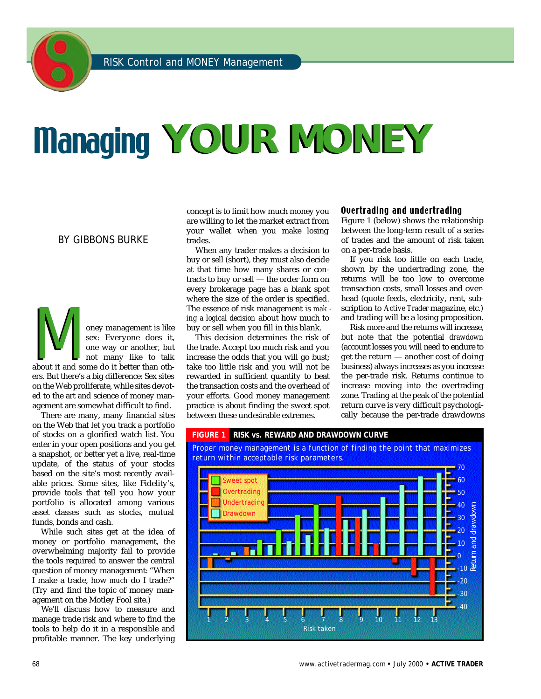# Managing **YOUR MONEY**

#### BY GIBBONS BURKE

about it and some do it better than other<br>about it and some do it better than other,<br>about it and some do it better than other. oney management is like sex: Everyone does it, one way or another, but not many like to talk ers. But there's a big difference: Sex sites on the Web proliferate, while sites devoted to the art and science of money management are somewhat difficult to find.

There are many, many financial sites on the Web that let you track a portfolio of stocks on a glorified watch list. You enter in your open positions and you get a snapshot, or better yet a live, real-time update, of the status of your stocks based on the site's most recently available prices. Some sites, like Fidelity's, provide tools that tell you how your portfolio is allocated among various asset classes such as stocks, mutual funds, bonds and cash.

While such sites get at the idea of money or portfolio management, the overwhelming majority fail to provide the tools required to answer the central question of money management: "When I make a trade, how *much* do I trade?" (Try and find the topic of money management on the Motley Fool site.)

We'll discuss how to measure and manage trade risk and where to find the tools to help do it in a responsible and profitable manner. The key underlying

concept is to limit how much money you are willing to let the market extract from your wallet when you make losing trades.

When any trader makes a decision to buy or sell (short), they must also decide at that time how many shares or contracts to buy or sell — the order form on every brokerage page has a blank spot where the size of the order is specified. The essence of risk management is *mak ing a logical decision* about how much to buy or sell when you fill in this blank.

This decision determines the risk of the trade. Accept too much risk and you increase the odds that you will go bust; take too little risk and you will not be rewarded in sufficient quantity to beat the transaction costs and the overhead of your efforts. Good money management practice is about finding the sweet spot between these undesirable extremes.

#### Overtrading and undertrading

Figure 1 (below) shows the relationship between the long-term result of a series of trades and the amount of risk taken on a per-trade basis.

If you risk too little on each trade, shown by the undertrading zone, the returns will be too low to overcome transaction costs, small losses and overhead (quote feeds, electricity, rent, subscription to *Active Trader* magazine, etc.) and trading will be a losing proposition.

Risk more and the returns will increase, but note that the potential *drawdown* (account losses you will need to endure to get the return — another cost of doing business) always increases as you increase the per-trade risk. Returns continue to increase moving into the overtrading zone. Trading at the peak of the potential return curve is very difficult psychologically because the per-trade drawdowns



68 www.activetradermag.com **•** July 2000 **• ACTIVE TRADER**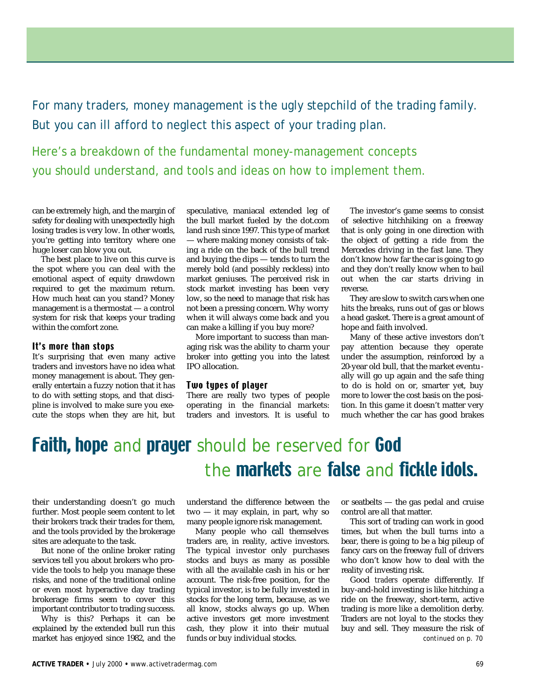For many traders, money management is the ugly stepchild of the trading family. But you can ill afford to neglect this aspect of your trading plan.

Here's a breakdown of the fundamental money-management concepts you should understand, and tools and ideas on how to implement them.

can be extremely high, and the margin of safety for dealing with unexpectedly high losing trades is very low. In other words, you're getting into territory where one huge loser can blow you out.

The best place to live on this curve is the spot where you can deal with the emotional aspect of equity drawdown required to get the maximum return. How much heat can you stand? Money management is a thermostat — a control system for risk that keeps your trading within the comfort zone.

#### It's more than stops

It's surprising that even many active traders and investors have no idea what money management is about. They generally entertain a fuzzy notion that it has to do with setting stops, and that discipline is involved to make sure you execute the stops when they are hit, but

speculative, maniacal extended leg of the bull market fueled by the dot.com land rush since 1997. This type of market — where making money consists of taking a ride on the back of the bull trend and buying the dips — tends to turn the merely bold (and possibly reckless) into market geniuses. The perceived risk in stock market investing has been very low, so the need to manage that risk has not been a pressing concern. Why worry when it will always come back and you can make a killing if you buy more?

More important to success than managing risk was the ability to charm your broker into getting you into the latest IPO allocation.

#### Two types of player

There are really two types of people operating in the financial markets: traders and investors. It is useful to

The investor's game seems to consist of selective hitchhiking on a freeway that is only going in one direction with the object of getting a ride from the Mercedes driving in the fast lane. They don't know how far the car is going to go and they don't really know when to bail out when the car starts driving in reverse.

They are slow to switch cars when one hits the breaks, runs out of gas or blows a head gasket. There is a great amount of hope and faith involved.

Many of these active investors don't pay attention because they operate under the assumption, reinforced by a 20-year old bull, that the market eventually will go up again and the safe thing to do is hold on or, smarter yet, buy more to lower the cost basis on the position. In this game it doesn't matter very much whether the car has good brakes

## Faith, hope and prayer should be reserved for  $God$ the **markets** are false and fickle idols.

their understanding doesn't go much further. Most people seem content to let their brokers track their trades for them, and the tools provided by the brokerage sites are adequate to the task.

But none of the online broker rating services tell you about brokers who provide the tools to help you manage these risks, and none of the traditional online or even most hyperactive day trading brokerage firms seem to cover this important contributor to trading success.

Why is this? Perhaps it can be explained by the extended bull run this market has enjoyed since 1982, and the understand the difference between the two — it may explain, in part, why so many people ignore risk management.

Many people who call themselves traders are, in reality, active investors. The typical investor only purchases stocks and buys as many as possible with all the available cash in his or her account. The risk-free position, for the typical investor, is to be fully invested in stocks for the long term, because, as we all know, stocks always go up. When active investors get more investment cash, they plow it into their mutual funds or buy individual stocks.

or seatbelts — the gas pedal and cruise control are all that matter.

This sort of trading can work in good times, but when the bull turns into a bear, there is going to be a big pileup of fancy cars on the freeway full of drivers who don't know how to deal with the reality of investing risk.

Good *traders* operate differently. If buy-and-hold investing is like hitching a ride on the freeway, short-term, active trading is more like a demolition derby. Traders are not loyal to the stocks they buy and sell. They measure the risk of *continued on p. 70*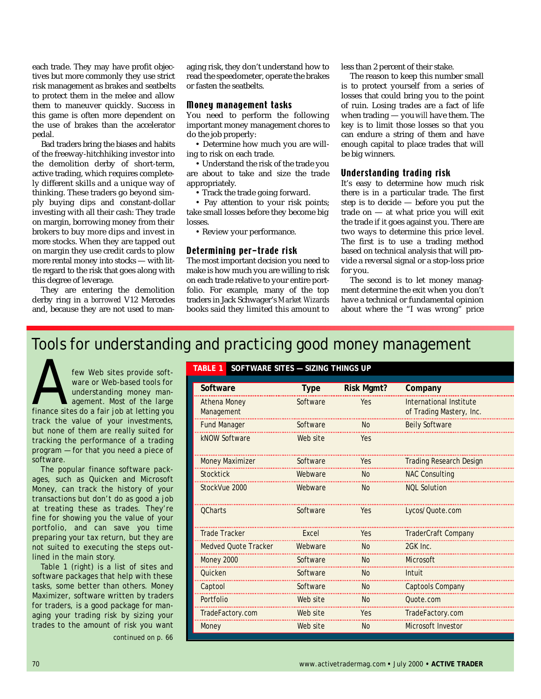each trade. They may have profit objectives but more commonly they use strict risk management as brakes and seatbelts to protect them in the melee and allow them to maneuver quickly. Success in this game is often more dependent on the use of brakes than the accelerator pedal.

Bad traders bring the biases and habits of the freeway-hitchhiking investor into the demolition derby of short-term, active trading, which requires completely different skills and a unique way of thinking. These traders go beyond simply buying dips and constant-dollar investing with all their cash: They trade on margin, borrowing money from their brokers to buy more dips and invest in more stocks. When they are tapped out on margin they use credit cards to plow more rental money into stocks — with little regard to the risk that goes along with this degree of leverage.

They are entering the demolition derby ring in a *borrowed* V12 Mercedes and, because they are not used to managing risk, they don't understand how to read the speedometer, operate the brakes or fasten the seatbelts.

#### Money management tasks

You need to perform the following important money management chores to do the job properly:

• Determine how much you are willing to risk on each trade.

• Understand the risk of the trade you are about to take and size the trade appropriately.

• Track the trade going forward.

• Pay attention to your risk points; take small losses before they become big losses.

• Review your performance.

#### Determining per-trade risk

The most important decision you need to make is how much you are willing to risk on each trade relative to your entire portfolio. For example, many of the top traders in Jack Schwager's Market Wizards books said they limited this amount to

less than 2 percent of their stake.

The reason to keep this number small is to protect yourself from a series of losses that could bring you to the point of ruin. Losing trades are a fact of life when trading — you *will* have them. The key is to limit those losses so that you can endure a string of them and have enough capital to place trades that will be big winners.

#### Understanding trading risk

It's easy to determine how much risk there is in a particular trade. The first step is to decide — before you put the trade on — at what price you will exit the trade if it goes against you. There are two ways to determine this price level. The first is to use a trading method based on technical analysis that will provide a reversal signal or a stop-loss price for you.

The second is to let money managment determine the exit when you don't have a technical or fundamental opinion about where the "I was wrong" price

### Tools for understanding and practicing good money management

few Web sites provide soft-<br>ware or Web-based tools for<br>understanding money man-<br>agement. Most of the large<br>finance sites do a fair job at letting you few Web sites provide software or Web-based tools for understanding money management. Most of the large track the value of your investments, but none of them are really suited for tracking the performance of a trading program — for that you need a piece of software.

The popular finance software packages, such as Quicken and Microsoft Money, can track the history of your transactions but don't do as good a job at treating these as trades. They're fine for showing you the value of your portfolio, and can save you time preparing your tax return, but they are not suited to executing the steps outlined in the main story.

Table 1 (right) is a list of sites and software packages that help with these tasks, some better than others. Money Maximizer, software written by traders for traders, is a good package for managing your trading risk by sizing your trades to the amount of risk you want

*continued on p. 66*

#### **TABLE 1 SOFTWARE SITES — SIZING THINGS UP**

| Software                          | <b>Type</b> | <b>Risk Mgmt?</b> | Company                                             |
|-----------------------------------|-------------|-------------------|-----------------------------------------------------|
| <b>Athena Money</b><br>Management | Software    | Yes               | International Institute<br>of Trading Mastery, Inc. |
| <b>Fund Manager</b>               | Software    | <b>No</b>         | <b>Beily Software</b>                               |
| kNOW Software                     | Web site    | Yes               |                                                     |
| <b>Money Maximizer</b>            | Software    | Yes               | <b>Trading Research Design</b>                      |
| <b>Stocktick</b>                  | Webware     | <b>No</b>         | <b>NAC Consulting</b>                               |
| StockVue 2000                     | Webware     | <b>No</b>         | <b>NOL Solution</b>                                 |
| <b>OCharts</b>                    | Software    | Yes               | Lycos/Quote.com                                     |
| <b>Trade Tracker</b>              | Excel       | Yes               | <b>TraderCraft Company</b>                          |
| <b>Medved Ouote Tracker</b>       | Webware     | Nο                | $2$ GK Inc.                                         |
| Money 2000                        | Software    | N <sub>0</sub>    | Microsoft                                           |
| Ouicken                           | Software    | N <sub>0</sub>    | Intuit                                              |
| Captool                           | Software    | <b>No</b>         | <b>Captools Company</b>                             |
| Portfolio                         | Web site    | No                | Quote com                                           |
| TradeFactory.com                  | Web site    | Yes               | TradeFactory.com                                    |
| Money                             | Web site    | N <sub>o</sub>    | Microsoft Investor                                  |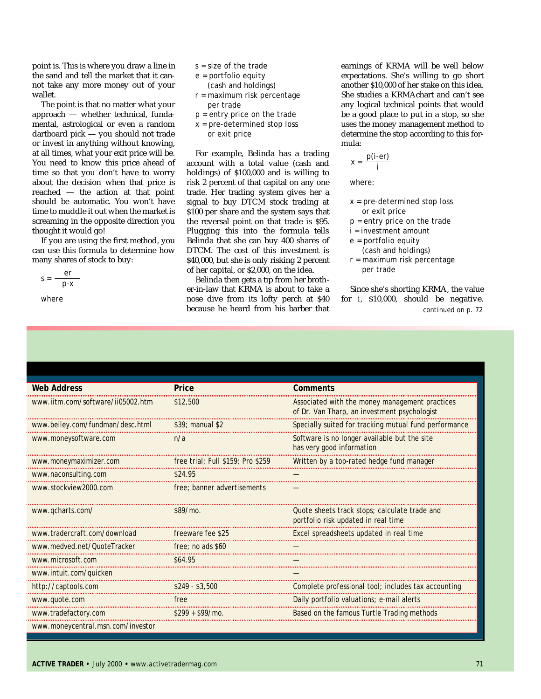point is. This is where you draw a line in the sand and tell the market that it cannot take any more money out of your wallet.

The point is that no matter what your approach — whether technical, fundamental, astrological or even a random dartboard pick — you should not trade or invest in anything without knowing, at all times, what your exit price will be. You need to know this price ahead of time so that you don't have to worry about the decision when that price is reached — the action at that point should be automatic. You won't have time to muddle it out when the market is screaming in the opposite direction you thought it would go!

If you are using the first method, you can use this formula to determine how many shares of stock to buy:

$$
s = \frac{er}{p-x}
$$

*where*

- $s = size of the trade$
- e = portfolio equity
- (cash and holdings)
- r = maximum risk percentage per trade
- $p =$  entry price on the trade
- x = pre-determined stop loss or exit price

For example, Belinda has a trading account with a total value (cash and holdings) of \$100,000 and is willing to risk 2 percent of that capital on any one trade. Her trading system gives her a signal to buy DTCM stock trading at \$100 per share and the system says that the reversal point on that trade is \$95. Plugging this into the formula tells Belinda that she can buy 400 shares of DTCM. The cost of this investment is \$40,000, but she is only risking 2 percent of her capital, or \$2,000, on the idea.

Belinda then gets a tip from her brother-in-law that KRMA is about to take a nose dive from its lofty perch at \$40 because he heard from his barber that earnings of KRMA will be well below expectations. She's willing to go short another \$10,000 of her stake on this idea. She studies a KRMAchart and can't see any logical technical points that would be a good place to put in a stop, so she uses the money management method to determine the stop according to this formula:

$$
x = \frac{p(i\text{-}er)}{i}
$$

where:

- x = pre-determined stop loss or exit price
- $p =$  entry price on the trade
- i = investment amount
- e = portfolio equity
- (cash and holdings) r = maximum risk percentage
- per trade

Since she's shorting KRMA, the value for *i*, \$10,000, should be negative. *continued on p. 72*

| <b>Web Address</b>                | Price                               | <b>Comments</b>                                                                                |
|-----------------------------------|-------------------------------------|------------------------------------------------------------------------------------------------|
| www.iitm.com/software/ii05002.htm | \$12,500                            | Associated with the money management practices<br>of Dr. Van Tharp, an investment psychologist |
| www.beiley.com/fundman/desc.html  | $$39;$ manual \$2                   | Specially suited for tracking mutual fund performance                                          |
| www.moneysoftware.com             | n/a                                 | Software is no longer available but the site<br>has very good information                      |
| www.moneymaximizer.com            | free trial; Full $$159;$ Pro $$259$ | Written by a top-rated hedge fund manager                                                      |
| www.naconsulting.com              | \$24.95                             |                                                                                                |
| www.stockview2000.com             | free: banner advertisements         |                                                                                                |
| www.gcharts.com/                  | $$89/m0$ .                          | Quote sheets track stops; calculate trade and<br>portfolio risk updated in real time           |
| www.tradercraft.com/download      | freeware fee \$25                   | Excel spreadsheets updated in real time                                                        |
| www.medved.net/QuoteTracker       | free: no ads \$60                   |                                                                                                |
| www.microsoft.com                 | \$64.95                             |                                                                                                |
| www.intuit.com/quicken            |                                     |                                                                                                |
| http://captools.com               | $$249 - $3,500$                     | Complete professional tool; includes tax accounting                                            |
| www.quote.com                     | free                                | Daily portfolio valuations; e-mail alerts                                                      |
| www.tradefactory.com              | $$299 + $99/m0$                     | Based on the famous Turtle Trading methods                                                     |
| www.moneycentral.msn.com/investor |                                     |                                                                                                |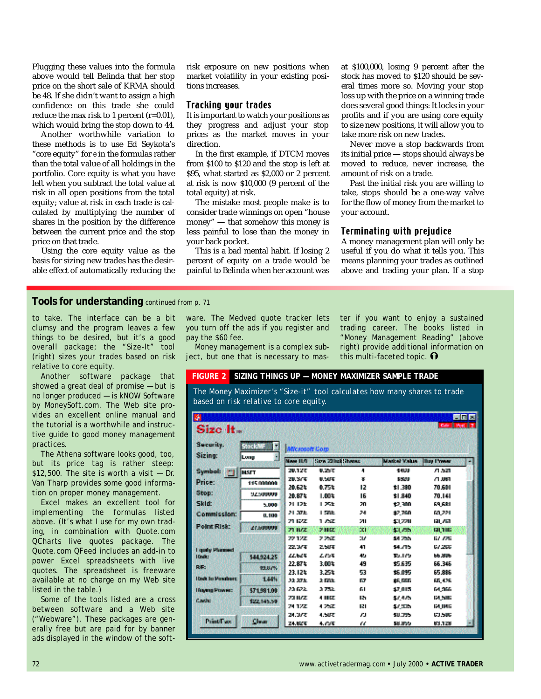Plugging these values into the formula above would tell Belinda that her stop price on the short sale of KRMA should be 48. If she didn't want to assign a high confidence on this trade she could reduce the max risk to 1 percent (r=0.01), which would bring the stop down to 44.

Another worthwhile variation to these methods is to use Ed Seykota's "core equity" for *e* in the formulas rather than the total value of all holdings in the portfolio. Core equity is what you have left when you subtract the total value at risk in all open positions from the total equity; value at risk in each trade is calculated by multiplying the number of shares in the position by the difference between the current price and the stop price on that trade.

Using the core equity value as the basis for sizing new trades has the desirable effect of automatically reducing the risk exposure on new positions when market volatility in your existing positions increases.

#### **Tracking your trades**

It is important to watch your positions as they progress and adjust your stop prices as the market moves in your direction.

In the first example, if DTCM moves from \$100 to \$120 and the stop is left at \$95, what started as \$2,000 or 2 percent at risk is now \$10,000 (9 percent of the total equity) at risk.

The mistake most people make is to consider trade winnings on open "house money" — that somehow this money is less painful to lose than the money in your back pocket.

This is a bad mental habit. If losing 2 percent of equity on a trade would be painful to Belinda when her account was at \$100,000, losing 9 percent after the stock has moved to \$120 should be several times more so. Moving your stop loss up with the price on a winning trade does several good things: It locks in your profits and if you are using core equity to size new positions, it will allow you to take more risk on new trades.

Never move a stop backwards from its initial price — stops should always be moved to reduce, never increase, the amount of risk on a trade.

Past the initial risk you are willing to take, stops should be a one-way valve for the flow of money from the market to your account.

#### **Terminating with prejudice**

A money management plan will only be useful if you do what it tells you. This means planning your trades as outlined above and trading your plan. If a stop

#### **Tools for understanding** *continued from p. 71*

to take. The interface can be a bit clumsy and the program leaves a few things to be desired, but it's a good overall package; the "Size-It" tool (right) sizes your trades based on risk relative to core equity.

Another software package that showed a great deal of promise — but is no longer produced — is kNOW Software by MoneySoft.com. The Web site provides an excellent online manual and the tutorial is a worthwhile and instructive guide to good money management practices.

The Athena software looks good, too, but its price tag is rather steep: \$12,500. The site is worth a visit  $-$  Dr. Van Tharp provides some good information on proper money management.

Excel makes an excellent tool for implementing the formulas listed above. (It's what I use for my own trading, in combination with Quote.com QCharts live quotes package. The Quote.com QFeed includes an add-in to power Excel spreadsheets with live quotes. The spreadsheet is freeware available at no charge on my Web site listed in the table.)

Some of the tools listed are a cross between software and a Web site ("Webware"). These packages are generally free but are paid for by banner ads displayed in the window of the software. The Medved quote tracker lets you turn off the ads if you register and pay the \$60 fee.

Money management is a complex subject, but one that is necessary to master if you want to enjoy a sustained trading career. The books listed in "Money Management Reading" (above right) provide additional information on this multi-faceted topic.  $\mathbf{\Omega}$ 

#### **FIGURE 2 SIZING THINGS UP — MONEY MAXIMIZER SAMPLE TRADE** *The Money Maximizer's "Size-it" tool calculates how many shares to trade based on risk relative to core equity.***DVA The First**

| CAN BINOK (12)<br>Size It. |                        |                    |                             |            |                    |                         |    |
|----------------------------|------------------------|--------------------|-----------------------------|------------|--------------------|-------------------------|----|
| Security.<br>Sizing:       | <b>Microsoft Corp.</b> |                    |                             |            |                    |                         |    |
|                            | ã<br>lLuna             | <b>MAN ILT</b>     | <b>Carro Zillagh Thomas</b> |            | <b>Links Value</b> | <b>They I haven</b>     | z. |
| <b>Symbol:</b>             | <b>MSTT</b>            | 20.127             | 見込ま                         | л          | 1400               | 71.521                  |    |
| <b>Drive</b> :             | 11000000000            | 20.377             | <b>IN SAINT</b>             | 富          | 6,504 0            | 有期期                     |    |
| Stop:                      | 52500000               | 地位地<br>70.97 k     | 电热电<br>1,00%                | 12<br>IB.  | \$1,300<br>11,840  | 70,600<br>70. IAI       |    |
| <b>Skid:</b>               | 5,000                  | 21.12%             | 上方面                         | 20.        | 12,300             | 63 KSI                  |    |
| Commission:                | 0.100                  | 24, 37 E.          | 150k                        | 老师         | 27,768             | 63 ZZI                  |    |
| <b>Point Risk:</b>         |                        | 21 ISS2            | 1 AZ                        | 211        | \$1,770            | 61. AGO                 |    |
|                            | <b>ALCOHOL: N</b>      | <b>21 H/Z</b>      | 法相应                         | ÚП.        | an an              | <b>121 7 INC</b>        |    |
|                            |                        | 27.1.20            | アアぼ                         | <b>DIP</b> | 104 250 v          | <b>BA APR</b>           |    |
| I gody History             |                        | 22.34%             | 2,507                       | 41         | \$4,775            | <b>G/260</b>            |    |
| 10mln                      | 544,924.25             | 22.62%             | これる                         | 45.        | 32. LCD            | <b>66,390</b>           |    |
| <b>DSE:</b>                | 193317%                | 77 ST 2<br>23.128. | 3,00%<br>化环化                | ÆП<br>57   | 世下部<br>15.095      | ES 345<br><b>EA SEE</b> |    |
| Hock foll-exchere.         | 14457                  | 32.27%             | 上面版                         | <b>IGP</b> | <b>25 RGG</b>      | GB 4.26                 |    |
| Hueng Power:               | 571981.00              | 2010/22            | 3.752.                      | ÆЦ         | 27.015             | 64.366                  |    |
| <b>Courtes</b>             | \$22,545.50            | 23 H/Z             | 非用区                         | <b>IRM</b> | 54456              | TA SING                 |    |
|                            |                        | 24, 17, 20         | 4 鸿译                        | IRI        | 57.TDL             | EA DAE                  |    |
|                            |                        | 24.072             | 机固定                         | FJ.        | <b>SUCTS</b>       | 医心肌                     |    |
| Principles of              | <b>Clean</b>           | 24,82%             | 生成蛋                         | £к.        | 53, 3750           | <b>K3 1.78</b>          | ×  |
|                            |                        |                    |                             |            |                    |                         |    |